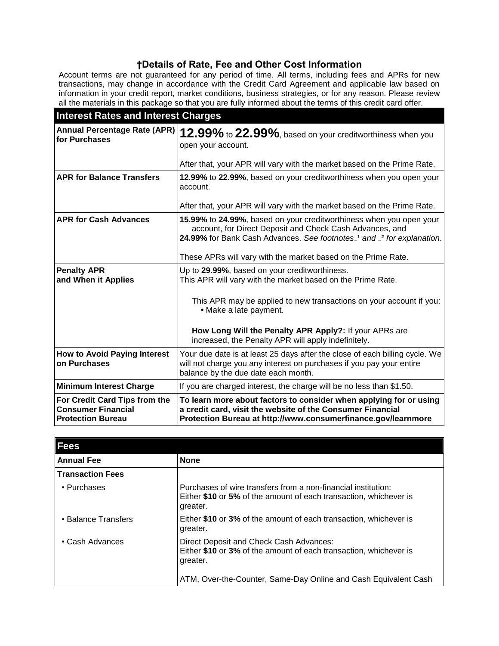# **†Details of Rate, Fee and Other Cost Information**

Account terms are not guaranteed for any period of time. All terms, including fees and APRs for new transactions, may change in accordance with the Credit Card Agreement and applicable law based on information in your credit report, market conditions, business strategies, or for any reason. Please review all the materials in this package so that you are fully informed about the terms of this credit card offer.

| <b>Interest Rates and Interest Charges</b>                                             |                                                                                                                                                                                                           |
|----------------------------------------------------------------------------------------|-----------------------------------------------------------------------------------------------------------------------------------------------------------------------------------------------------------|
| <b>Annual Percentage Rate (APR)</b><br>for Purchases                                   | 12.99% to 22.99%, based on your creditworthiness when you<br>open your account.                                                                                                                           |
|                                                                                        | After that, your APR will vary with the market based on the Prime Rate.                                                                                                                                   |
| <b>APR for Balance Transfers</b>                                                       | 12.99% to 22.99%, based on your creditworthiness when you open your<br>account.                                                                                                                           |
|                                                                                        | After that, your APR will vary with the market based on the Prime Rate.                                                                                                                                   |
| <b>APR for Cash Advances</b>                                                           | 15.99% to 24.99%, based on your creditworthiness when you open your<br>account, for Direct Deposit and Check Cash Advances, and<br>24.99% for Bank Cash Advances. See footnotes_1 and _2 for explanation. |
|                                                                                        | These APRs will vary with the market based on the Prime Rate.                                                                                                                                             |
| <b>Penalty APR</b><br>and When it Applies                                              | Up to 29.99%, based on your creditworthiness.<br>This APR will vary with the market based on the Prime Rate.                                                                                              |
|                                                                                        | This APR may be applied to new transactions on your account if you:<br>• Make a late payment.                                                                                                             |
|                                                                                        | How Long Will the Penalty APR Apply?: If your APRs are<br>increased, the Penalty APR will apply indefinitely.                                                                                             |
| <b>How to Avoid Paying Interest</b><br>on Purchases                                    | Your due date is at least 25 days after the close of each billing cycle. We<br>will not charge you any interest on purchases if you pay your entire<br>balance by the due date each month.                |
| <b>Minimum Interest Charge</b>                                                         | If you are charged interest, the charge will be no less than \$1.50.                                                                                                                                      |
| For Credit Card Tips from the<br><b>Consumer Financial</b><br><b>Protection Bureau</b> | To learn more about factors to consider when applying for or using<br>a credit card, visit the website of the Consumer Financial<br>Protection Bureau at http://www.consumerfinance.gov/learnmore         |

| <b>Fees</b>             |                                                                                                                                                |
|-------------------------|------------------------------------------------------------------------------------------------------------------------------------------------|
| <b>Annual Fee</b>       | <b>None</b>                                                                                                                                    |
| <b>Transaction Fees</b> |                                                                                                                                                |
| • Purchases             | Purchases of wire transfers from a non-financial institution:<br>Either \$10 or 5% of the amount of each transaction, whichever is<br>greater. |
| • Balance Transfers     | Either \$10 or 3% of the amount of each transaction, whichever is<br>greater.                                                                  |
| • Cash Advances         | Direct Deposit and Check Cash Advances:<br>Either \$10 or 3% of the amount of each transaction, whichever is<br>greater.                       |
|                         | ATM, Over-the-Counter, Same-Day Online and Cash Equivalent Cash                                                                                |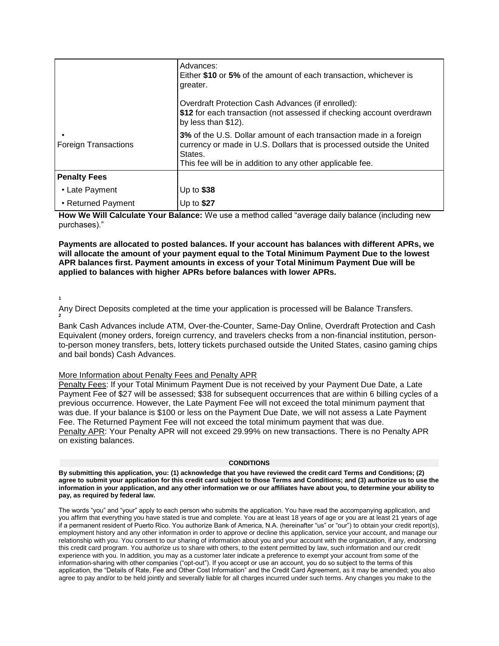|                             | Advances:<br>Either \$10 or 5% of the amount of each transaction, whichever is<br>greater.                                                                                                                          |
|-----------------------------|---------------------------------------------------------------------------------------------------------------------------------------------------------------------------------------------------------------------|
|                             | Overdraft Protection Cash Advances (if enrolled):<br>\$12 for each transaction (not assessed if checking account overdrawn<br>by less than \$12).                                                                   |
| <b>Foreign Transactions</b> | 3% of the U.S. Dollar amount of each transaction made in a foreign<br>currency or made in U.S. Dollars that is processed outside the United<br>States.<br>This fee will be in addition to any other applicable fee. |
| <b>Penalty Fees</b>         |                                                                                                                                                                                                                     |
| • Late Payment              | Up to $$38$                                                                                                                                                                                                         |
| • Returned Payment          | Up to \$27                                                                                                                                                                                                          |

**How We Will Calculate Your Balance:** We use a method called "average daily balance (including new purchases)."

**Payments are allocated to posted balances. If your account has balances with different APRs, we will allocate the amount of your payment equal to the Total Minimum Payment Due to the lowest APR balances first. Payment amounts in excess of your Total Minimum Payment Due will be applied to balances with higher APRs before balances with lower APRs.**

### **1**

Any Direct Deposits completed at the time your application is processed will be Balance Transfers. **2**

Bank Cash Advances include ATM, Over-the-Counter, Same-Day Online, Overdraft Protection and Cash Equivalent (money orders, foreign currency, and travelers checks from a non-financial institution, personto-person money transfers, bets, lottery tickets purchased outside the United States, casino gaming chips and bail bonds) Cash Advances.

## More Information about Penalty Fees and Penalty APR

Penalty Fees: If your Total Minimum Payment Due is not received by your Payment Due Date, a Late Payment Fee of \$27 will be assessed; \$38 for subsequent occurrences that are within 6 billing cycles of a previous occurrence. However, the Late Payment Fee will not exceed the total minimum payment that was due. If your balance is \$100 or less on the Payment Due Date, we will not assess a Late Payment Fee. The Returned Payment Fee will not exceed the total minimum payment that was due. Penalty APR: Your Penalty APR will not exceed 29.99% on new transactions. There is no Penalty APR on existing balances.

#### **CONDITIONS**

**By submitting this application, you: (1) acknowledge that you have reviewed the credit card Terms and Conditions; (2) agree to submit your application for this credit card subject to those Terms and Conditions; and (3) authorize us to use the information in your application, and any other information we or our affiliates have about you, to determine your ability to pay, as required by federal law.**

The words "you" and "your" apply to each person who submits the application. You have read the accompanying application, and you affirm that everything you have stated is true and complete. You are at least 18 years of age or you are at least 21 years of age if a permanent resident of Puerto Rico. You authorize Bank of America, N.A. (hereinafter "us" or "our") to obtain your credit report(s), employment history and any other information in order to approve or decline this application, service your account, and manage our relationship with you. You consent to our sharing of information about you and your account with the organization, if any, endorsing this credit card program. You authorize us to share with others, to the extent permitted by law, such information and our credit experience with you. In addition, you may as a customer later indicate a preference to exempt your account from some of the information-sharing with other companies ("opt-out"). If you accept or use an account, you do so subject to the terms of this application, the "Details of Rate, Fee and Other Cost Information" and the Credit Card Agreement, as it may be amended; you also agree to pay and/or to be held jointly and severally liable for all charges incurred under such terms. Any changes you make to the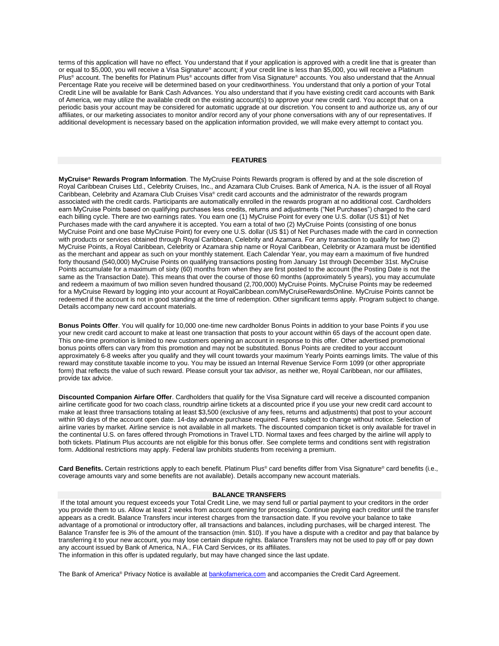terms of this application will have no effect. You understand that if your application is approved with a credit line that is greater than or equal to \$5,000, you will receive a Visa Signature® account; if your credit line is less than \$5,000, you will receive a Platinum Plus® account. The benefits for Platinum Plus® accounts differ from Visa Signature® accounts. You also understand that the Annual Percentage Rate you receive will be determined based on your creditworthiness. You understand that only a portion of your Total Credit Line will be available for Bank Cash Advances. You also understand that if you have existing credit card accounts with Bank of America, we may utilize the available credit on the existing account(s) to approve your new credit card. You accept that on a periodic basis your account may be considered for automatic upgrade at our discretion. You consent to and authorize us, any of our affiliates, or our marketing associates to monitor and/or record any of your phone conversations with any of our representatives. If additional development is necessary based on the application information provided, we will make every attempt to contact you.

#### **FEATURES**

**MyCruise® Rewards Program Information**. The MyCruise Points Rewards program is offered by and at the sole discretion of Royal Caribbean Cruises Ltd., Celebrity Cruises, Inc., and Azamara Club Cruises. Bank of America, N.A. is the issuer of all Royal Caribbean, Celebrity and Azamara Club Cruises Visa® credit card accounts and the administrator of the rewards program associated with the credit cards. Participants are automatically enrolled in the rewards program at no additional cost. Cardholders earn MyCruise Points based on qualifying purchases less credits, returns and adjustments ("Net Purchases") charged to the card each billing cycle. There are two earnings rates. You earn one (1) MyCruise Point for every one U.S. dollar (US \$1) of Net Purchases made with the card anywhere it is accepted. You earn a total of two (2) MyCruise Points (consisting of one bonus MyCruise Point and one base MyCruise Point) for every one U.S. dollar (US \$1) of Net Purchases made with the card in connection with products or services obtained through Royal Caribbean, Celebrity and Azamara. For any transaction to qualify for two (2) MyCruise Points, a Royal Caribbean, Celebrity or Azamara ship name or Royal Caribbean, Celebrity or Azamara must be identified as the merchant and appear as such on your monthly statement. Each Calendar Year, you may earn a maximum of five hundred forty thousand (540,000) MyCruise Points on qualifying transactions posting from January 1st through December 31st. MyCruise Points accumulate for a maximum of sixty (60) months from when they are first posted to the account (the Posting Date is not the same as the Transaction Date). This means that over the course of those 60 months (approximately 5 years), you may accumulate and redeem a maximum of two million seven hundred thousand (2,700,000) MyCruise Points. MyCruise Points may be redeemed for a MyCruise Reward by logging into your account at RoyalCaribbean.com/MyCruiseRewardsOnline. MyCruise Points cannot be redeemed if the account is not in good standing at the time of redemption. Other significant terms apply. Program subject to change. Details accompany new card account materials.

**Bonus Points Offer**. You will qualify for 10,000 one-time new cardholder Bonus Points in addition to your base Points if you use your new credit card account to make at least one transaction that posts to your account within 65 days of the account open date. This one-time promotion is limited to new customers opening an account in response to this offer. Other advertised promotional bonus points offers can vary from this promotion and may not be substituted. Bonus Points are credited to your account approximately 6-8 weeks after you qualify and they will count towards your maximum Yearly Points earnings limits. The value of this reward may constitute taxable income to you. You may be issued an Internal Revenue Service Form 1099 (or other appropriate form) that reflects the value of such reward. Please consult your tax advisor, as neither we, Royal Caribbean, nor our affiliates, provide tax advice.

**Discounted Companion Airfare Offer**. Cardholders that qualify for the Visa Signature card will receive a discounted companion airline certificate good for two coach class, roundtrip airline tickets at a discounted price if you use your new credit card account to make at least three transactions totaling at least \$3,500 (exclusive of any fees, returns and adjustments) that post to your account within 90 days of the account open date. 14-day advance purchase required. Fares subject to change without notice. Selection of airline varies by market. Airline service is not available in all markets. The discounted companion ticket is only available for travel in the continental U.S. on fares offered through Promotions in Travel LTD. Normal taxes and fees charged by the airline will apply to both tickets. Platinum Plus accounts are not eligible for this bonus offer. See complete terms and conditions sent with registration form. Additional restrictions may apply. Federal law prohibits students from receiving a premium.

**Card Benefits.** Certain restrictions apply to each benefit. Platinum Plus® card benefits differ from Visa Signature® card benefits (i.e., coverage amounts vary and some benefits are not available). Details accompany new account materials.

#### **BALANCE TRANSFERS**

If the total amount you request exceeds your Total Credit Line, we may send full or partial payment to your creditors in the order you provide them to us. Allow at least 2 weeks from account opening for processing. Continue paying each creditor until the transfer appears as a credit. Balance Transfers incur interest charges from the transaction date. If you revolve your balance to take advantage of a promotional or introductory offer, all transactions and balances, including purchases, will be charged interest. The Balance Transfer fee is 3% of the amount of the transaction (min. \$10). If you have a dispute with a creditor and pay that balance by transferring it to your new account, you may lose certain dispute rights. Balance Transfers may not be used to pay off or pay down any account issued by Bank of America, N.A., FIA Card Services, or its affiliates.

The information in this offer is updated regularly, but may have changed since the last update.

The Bank of America® Privacy Notice is available at [bankofamerica.com](https://www.bankofamerica.com/privacy/overview.go) and accompanies the Credit Card Agreement.